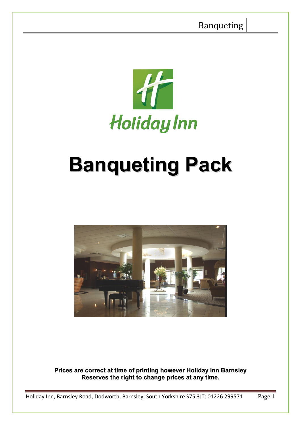

# **Banqueting Pack**



**Prices are correct at time of printing however Holiday Inn Barnsley Reserves the right to change prices at any time.**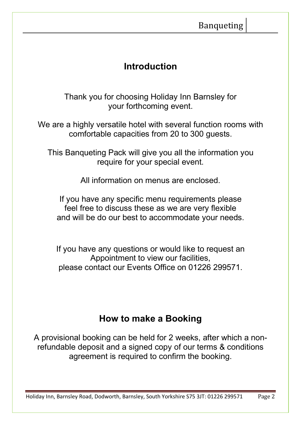# **Introduction**

Thank you for choosing Holiday Inn Barnsley for your forthcoming event.

We are a highly versatile hotel with several function rooms with comfortable capacities from 20 to 300 guests.

This Banqueting Pack will give you all the information you require for your special event.

All information on menus are enclosed.

If you have any specific menu requirements please feel free to discuss these as we are very flexible and will be do our best to accommodate your needs.

If you have any questions or would like to request an Appointment to view our facilities, please contact our Events Office on 01226 299571.

# **How to make a Booking**

A provisional booking can be held for 2 weeks, after which a nonrefundable deposit and a signed copy of our terms & conditions agreement is required to confirm the booking.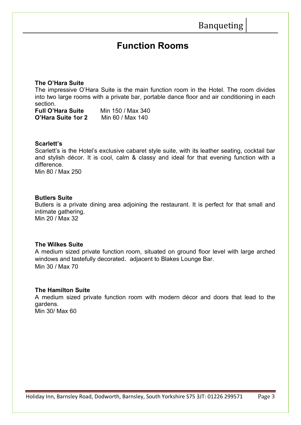# **Function Rooms**

#### **The O'Hara Suite**

The impressive O'Hara Suite is the main function room in the Hotel. The room divides into two large rooms with a private bar, portable dance floor and air conditioning in each section.

**Full O'Hara Suite** Min 150 / Max 340 **O'Hara Suite 1or 2** Min 60 / Max 140

#### **Scarlett's**

Scarlett's is the Hotel's exclusive cabaret style suite, with its leather seating, cocktail bar and stylish décor. It is cool, calm & classy and ideal for that evening function with a difference.

Min 80 / Max 250

## **Butlers Suite**

Butlers is a private dining area adjoining the restaurant. It is perfect for that small and intimate gathering. Min 20 / Max 32

#### **The Wilkes Suite**

A medium sized private function room, situated on ground floor level with large arched windows and tastefully decorated*.* adjacent to Blakes Lounge Bar. Min 30 / Max 70

## **The Hamilton Suite**

A medium sized private function room with modern décor and doors that lead to the gardens. Min 30/ Max 60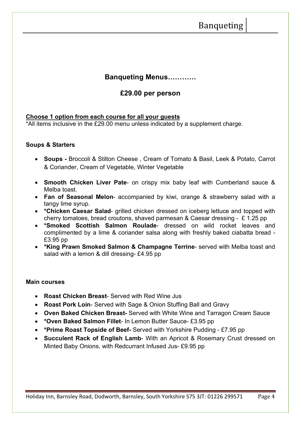# Banqueting

# **Banqueting Menus…………**

# **£29.00 per person**

## **Choose 1 option from each course for all your guests**

\*All items inclusive in the £29.00 menu unless indicated by a supplement charge.

#### **Soups & Starters**

- **Soups** Broccoli & Stilton Cheese , Cream of Tomato & Basil, Leek & Potato, Carrot & Coriander, Cream of Vegetable, Winter Vegetable
- **Smooth Chicken Liver Pate** on crispy mix baby leaf with Cumberland sauce & Melba toast.
- **Fan of Seasonal Melon** accompanied by kiwi, orange & strawberry salad with a tangy lime syrup.
- **\*Chicken Caesar Salad** grilled chicken dressed on iceberg lettuce and topped with cherry tomatoes, bread croutons, shaved parmesan & Caesar dressing - £ 1.25 pp
- **\*Smoked Scottish Salmon Roulade** dressed on wild rocket leaves and complimented by a lime & coriander salsa along with freshly baked ciabatta bread - £3.95 pp
- **\*King Prawn Smoked Salmon & Champagne Terrine** served with Melba toast and salad with a lemon & dill dressing- £4.95 pp

#### **Main courses**

- **Roast Chicken Breast** Served with Red Wine Jus
- **Roast Pork Loin** Served with Sage & Onion Stuffing Ball and Gravy
- **Oven Baked Chicken Breast-** Served with White Wine and Tarragon Cream Sauce
- **\*Oven Baked Salmon Fillet** In Lemon Butter Sauce- £3.95 pp
- **\*Prime Roast Topside of Beef-** Served with Yorkshire Pudding £7.95 pp
- **Succulent Rack of English Lamb** With an Apricot & Rosemary Crust dressed on Minted Baby Onions, with Redcurrant Infused Jus- £9.95 pp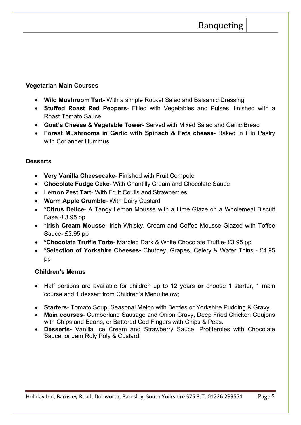# **Vegetarian Main Courses**

- **Wild Mushroom Tart-** With a simple Rocket Salad and Balsamic Dressing
- **Stuffed Roast Red Peppers** Filled with Vegetables and Pulses, finished with a Roast Tomato Sauce
- **Goat's Cheese & Vegetable Tower** Served with Mixed Salad and Garlic Bread
- **Forest Mushrooms in Garlic with Spinach & Feta cheese** Baked in Filo Pastry with Coriander Hummus

# **Desserts**

- **Very Vanilla Cheesecake** Finished with Fruit Compote
- **Chocolate Fudge Cake** With Chantilly Cream and Chocolate Sauce
- **Lemon Zest Tart** With Fruit Coulis and Strawberries
- **Warm Apple Crumble** With Dairy Custard
- **\*Citrus Delice** A Tangy Lemon Mousse with a Lime Glaze on a Wholemeal Biscuit Base -£3.95 pp
- **\*Irish Cream Mousse** Irish Whisky, Cream and Coffee Mousse Glazed with Toffee Sauce- £3.95 pp
- **\*Chocolate Truffle Torte** Marbled Dark & White Chocolate Truffle- £3.95 pp
- **\*Selection of Yorkshire Cheeses-** Chutney, Grapes, Celery & Wafer Thins £4.95 pp

# **Children's Menus**

- Half portions are available for children up to 12 years **or** choose 1 starter, 1 main course and 1 dessert from Children's Menu below;
- **Starters** Tomato Soup, Seasonal Melon with Berries or Yorkshire Pudding & Gravy.
- **Main courses** Cumberland Sausage and Onion Gravy, Deep Fried Chicken Goujons with Chips and Beans, or Battered Cod Fingers with Chips & Peas.
- **Desserts-** Vanilla Ice Cream and Strawberry Sauce, Profiteroles with Chocolate Sauce, or Jam Roly Poly & Custard.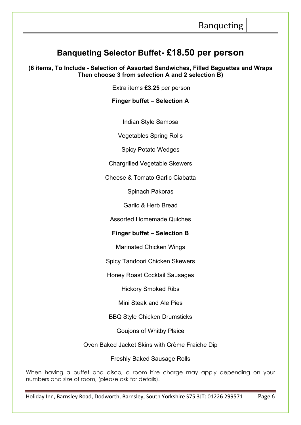# **Banqueting Selector Buffet- £18.50 per person**

**(6 items, To Include - Selection of Assorted Sandwiches, Filled Baguettes and Wraps Then choose 3 from selection A and 2 selection B)** 

Extra items **£3.25** per person

## **Finger buffet – Selection A**

Indian Style Samosa

Vegetables Spring Rolls

Spicy Potato Wedges

Chargrilled Vegetable Skewers

Cheese & Tomato Garlic Ciabatta

Spinach Pakoras

Garlic & Herb Bread

Assorted Homemade Quiches

## **Finger buffet – Selection B**

Marinated Chicken Wings

Spicy Tandoori Chicken Skewers

Honey Roast Cocktail Sausages

Hickory Smoked Ribs

Mini Steak and Ale Pies

BBQ Style Chicken Drumsticks

Goujons of Whitby Plaice

Oven Baked Jacket Skins with Crème Fraiche Dip

Freshly Baked Sausage Rolls

When having a buffet and disco, a room hire charge may apply depending on your numbers and size of room, (please ask for details).

Holiday Inn, Barnsley Road, Dodworth, Barnsley, South Yorkshire S75 3JT: 01226 299571 Page 6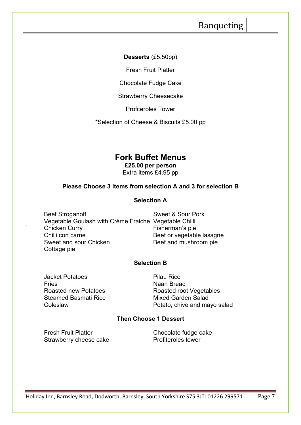# Banqueting

**Desserts** (£5.50pp)

Fresh Fruit Platter

Chocolate Fudge Cake

Strawberry Cheesecake

Profiteroles Tower

\*Selection of Cheese & Biscuits £5.00 pp

# **Fork Buffet Menus**

**£25.00 per person** Extra items £4.95 pp

## **Please Choose 3 items from selection A and 3 for selection B**

#### **Selection A**

Beef Stroganoff Sweet & Sour Pork Vegetable Goulash with Crème Fraiche Vegetable Chilli Chicken Curry **Fisherman's pie** Chilli con carne<br>
Sweet and sour Chicken<br>
Beef and mushroom pie Cottage pie

Beef and mushroom pie

## **Selection B**

Jacket Potatoes **Pilau Rice** Fries<br>Roasted new Potatoes Man Bread<br>Roasted roo Steamed Basmati Rice Mixed Garden Salad

Roasted root Vegetables Coleslaw Potato, chive and mayo salad

## **Then Choose 1 Dessert**

Fresh Fruit Platter **Chocolate fudge cake**<br>Strawberry cheese cake **Chocolate Frofiteroles** tower Strawberry cheese cake